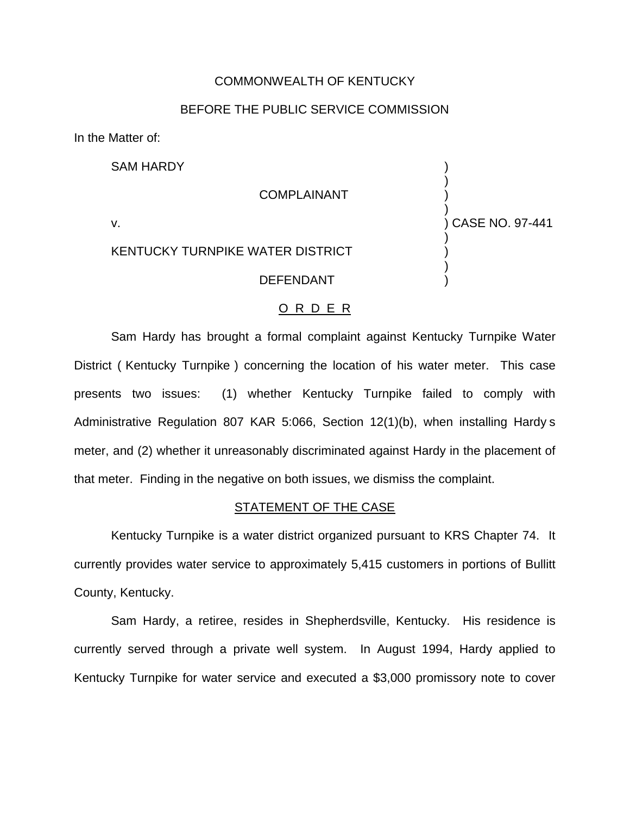#### COMMONWEALTH OF KENTUCKY

### BEFORE THE PUBLIC SERVICE COMMISSION

In the Matter of:

SAM HARDY

**COMPLAINANT** 

v. ) CASE NO. 97-441

)

)

)

)

# KENTUCKY TURNPIKE WATER DISTRICT )

#### **DEFENDANT**

#### O R D E R

Sam Hardy has brought a formal complaint against Kentucky Turnpike Water District ( Kentucky Turnpike ) concerning the location of his water meter. This case presents two issues: (1) whether Kentucky Turnpike failed to comply with Administrative Regulation 807 KAR 5:066, Section 12(1)(b), when installing Hardy s meter, and (2) whether it unreasonably discriminated against Hardy in the placement of that meter. Finding in the negative on both issues, we dismiss the complaint.

#### STATEMENT OF THE CASE

Kentucky Turnpike is a water district organized pursuant to KRS Chapter 74. It currently provides water service to approximately 5,415 customers in portions of Bullitt County, Kentucky.

Sam Hardy, a retiree, resides in Shepherdsville, Kentucky. His residence is currently served through a private well system. In August 1994, Hardy applied to Kentucky Turnpike for water service and executed a \$3,000 promissory note to cover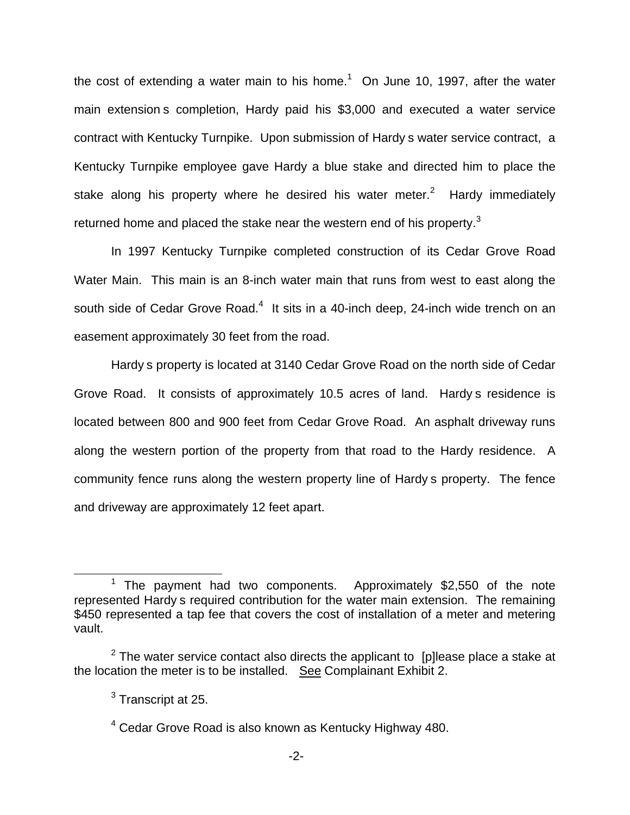the cost of extending a water main to his home.<sup>1</sup> On June 10, 1997, after the water main extension s completion, Hardy paid his \$3,000 and executed a water service contract with Kentucky Turnpike. Upon submission of Hardy s water service contract, a Kentucky Turnpike employee gave Hardy a blue stake and directed him to place the stake along his property where he desired his water meter.<sup>2</sup> Hardy immediately returned home and placed the stake near the western end of his property.<sup>3</sup>

In 1997 Kentucky Turnpike completed construction of its Cedar Grove Road Water Main. This main is an 8-inch water main that runs from west to east along the south side of Cedar Grove Road.<sup>4</sup> It sits in a 40-inch deep, 24-inch wide trench on an easement approximately 30 feet from the road.

Hardy s property is located at 3140 Cedar Grove Road on the north side of Cedar Grove Road. It consists of approximately 10.5 acres of land. Hardy s residence is located between 800 and 900 feet from Cedar Grove Road. An asphalt driveway runs along the western portion of the property from that road to the Hardy residence. A community fence runs along the western property line of Hardy s property. The fence and driveway are approximately 12 feet apart.

 $1$  The payment had two components. Approximately \$2,550 of the note represented Hardy s required contribution for the water main extension. The remaining \$450 represented a tap fee that covers the cost of installation of a meter and metering vault.

 $2$  The water service contact also directs the applicant to  $[p]$ lease place a stake at the location the meter is to be installed. See Complainant Exhibit 2.

<sup>&</sup>lt;sup>3</sup> Transcript at 25.

 $4$  Cedar Grove Road is also known as Kentucky Highway 480.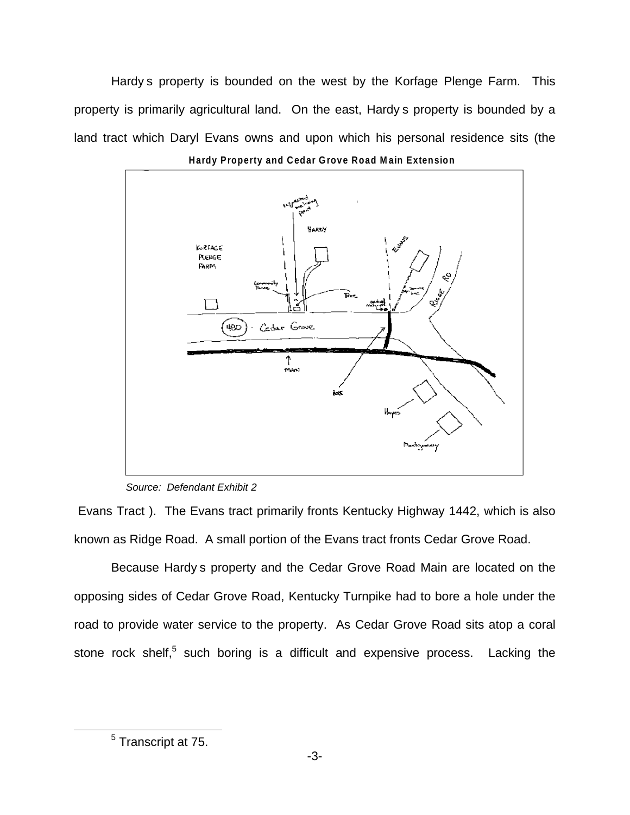Hardy s property is bounded on the west by the Korfage Plenge Farm. This property is primarily agricultural land. On the east, Hardy s property is bounded by a land tract which Daryl Evans owns and upon which his personal residence sits (the



*Source: Defendant Exhibit 2*

 Evans Tract ). The Evans tract primarily fronts Kentucky Highway 1442, which is also known as Ridge Road. A small portion of the Evans tract fronts Cedar Grove Road.

Because Hardy s property and the Cedar Grove Road Main are located on the opposing sides of Cedar Grove Road, Kentucky Turnpike had to bore a hole under the road to provide water service to the property. As Cedar Grove Road sits atop a coral stone rock shelf,<sup>5</sup> such boring is a difficult and expensive process. Lacking the

<sup>5</sup> Transcript at 75.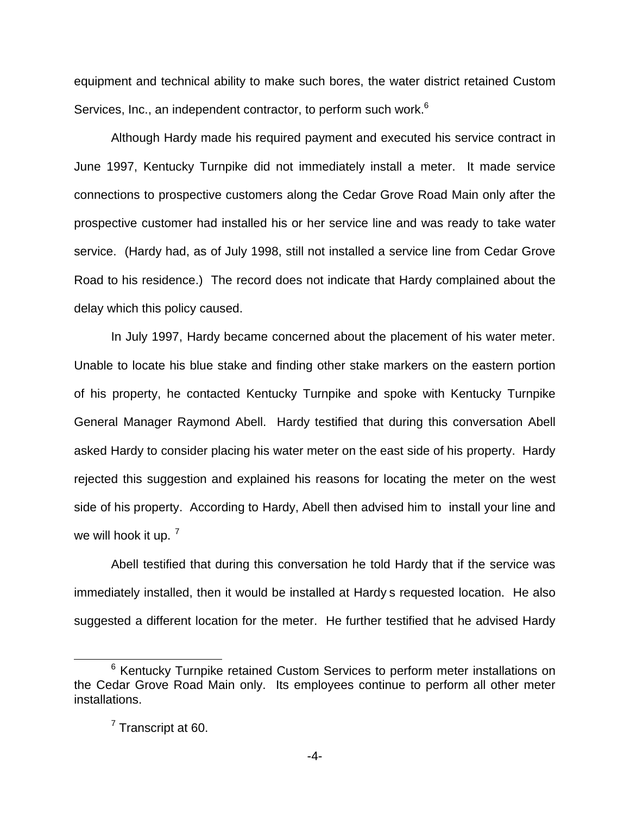equipment and technical ability to make such bores, the water district retained Custom Services, Inc., an independent contractor, to perform such work.<sup>6</sup>

Although Hardy made his required payment and executed his service contract in June 1997, Kentucky Turnpike did not immediately install a meter. It made service connections to prospective customers along the Cedar Grove Road Main only after the prospective customer had installed his or her service line and was ready to take water service. (Hardy had, as of July 1998, still not installed a service line from Cedar Grove Road to his residence.) The record does not indicate that Hardy complained about the delay which this policy caused.

In July 1997, Hardy became concerned about the placement of his water meter. Unable to locate his blue stake and finding other stake markers on the eastern portion of his property, he contacted Kentucky Turnpike and spoke with Kentucky Turnpike General Manager Raymond Abell. Hardy testified that during this conversation Abell asked Hardy to consider placing his water meter on the east side of his property. Hardy rejected this suggestion and explained his reasons for locating the meter on the west side of his property. According to Hardy, Abell then advised him to install your line and we will hook it up. <sup>7</sup>

Abell testified that during this conversation he told Hardy that if the service was immediately installed, then it would be installed at Hardy s requested location. He also suggested a different location for the meter. He further testified that he advised Hardy

 $6$  Kentucky Turnpike retained Custom Services to perform meter installations on the Cedar Grove Road Main only. Its employees continue to perform all other meter installations.

 $<sup>7</sup>$  Transcript at 60.</sup>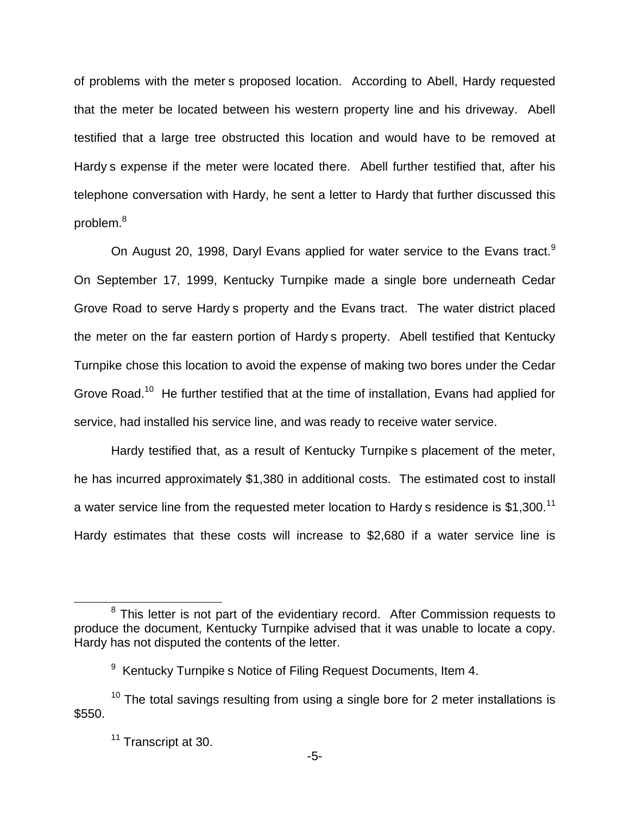of problems with the meter s proposed location. According to Abell, Hardy requested that the meter be located between his western property line and his driveway. Abell testified that a large tree obstructed this location and would have to be removed at Hardy s expense if the meter were located there. Abell further testified that, after his telephone conversation with Hardy, he sent a letter to Hardy that further discussed this problem.8

On August 20, 1998, Daryl Evans applied for water service to the Evans tract.<sup>9</sup> On September 17, 1999, Kentucky Turnpike made a single bore underneath Cedar Grove Road to serve Hardy s property and the Evans tract. The water district placed the meter on the far eastern portion of Hardy s property. Abell testified that Kentucky Turnpike chose this location to avoid the expense of making two bores under the Cedar Grove Road.<sup>10</sup> He further testified that at the time of installation, Evans had applied for service, had installed his service line, and was ready to receive water service.

Hardy testified that, as a result of Kentucky Turnpike s placement of the meter, he has incurred approximately \$1,380 in additional costs. The estimated cost to install a water service line from the requested meter location to Hardy s residence is \$1,300.<sup>11</sup> Hardy estimates that these costs will increase to \$2,680 if a water service line is

 $8$  This letter is not part of the evidentiary record. After Commission requests to produce the document, Kentucky Turnpike advised that it was unable to locate a copy. Hardy has not disputed the contents of the letter.

 $9$  Kentucky Turnpike s Notice of Filing Request Documents, Item 4.

 $10$  The total savings resulting from using a single bore for 2 meter installations is \$550.

<sup>&</sup>lt;sup>11</sup> Transcript at 30.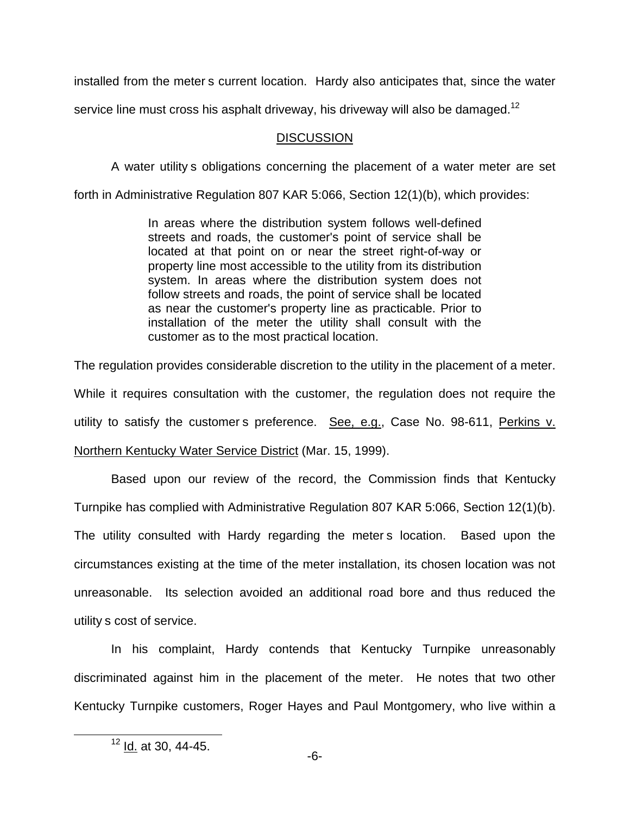installed from the meter s current location. Hardy also anticipates that, since the water

service line must cross his asphalt driveway, his driveway will also be damaged.<sup>12</sup>

### **DISCUSSION**

A water utility s obligations concerning the placement of a water meter are set

forth in Administrative Regulation 807 KAR 5:066, Section 12(1)(b), which provides:

In areas where the distribution system follows well-defined streets and roads, the customer's point of service shall be located at that point on or near the street right-of-way or property line most accessible to the utility from its distribution system. In areas where the distribution system does not follow streets and roads, the point of service shall be located as near the customer's property line as practicable. Prior to installation of the meter the utility shall consult with the customer as to the most practical location.

The regulation provides considerable discretion to the utility in the placement of a meter.

While it requires consultation with the customer, the regulation does not require the utility to satisfy the customer s preference. See, e.g., Case No. 98-611, Perkins v. Northern Kentucky Water Service District (Mar. 15, 1999).

Based upon our review of the record, the Commission finds that Kentucky Turnpike has complied with Administrative Regulation 807 KAR 5:066, Section 12(1)(b). The utility consulted with Hardy regarding the meter s location. Based upon the circumstances existing at the time of the meter installation, its chosen location was not unreasonable. Its selection avoided an additional road bore and thus reduced the utility s cost of service.

In his complaint, Hardy contends that Kentucky Turnpike unreasonably discriminated against him in the placement of the meter. He notes that two other Kentucky Turnpike customers, Roger Hayes and Paul Montgomery, who live within a

<sup>12</sup> Id. at 30, 44-45.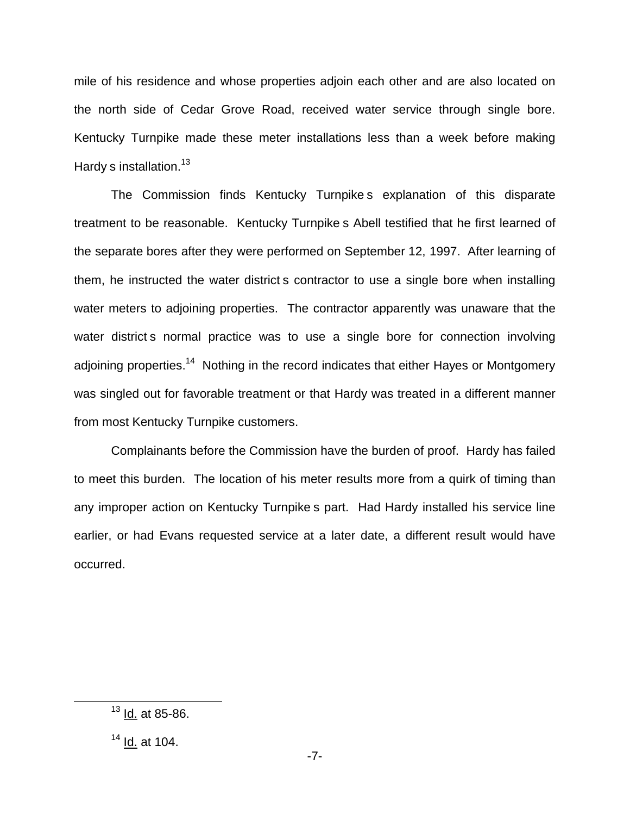mile of his residence and whose properties adjoin each other and are also located on the north side of Cedar Grove Road, received water service through single bore. Kentucky Turnpike made these meter installations less than a week before making Hardy s installation.<sup>13</sup>

The Commission finds Kentucky Turnpike s explanation of this disparate treatment to be reasonable. Kentucky Turnpike s Abell testified that he first learned of the separate bores after they were performed on September 12, 1997. After learning of them, he instructed the water district s contractor to use a single bore when installing water meters to adjoining properties. The contractor apparently was unaware that the water district s normal practice was to use a single bore for connection involving adjoining properties.<sup>14</sup> Nothing in the record indicates that either Hayes or Montgomery was singled out for favorable treatment or that Hardy was treated in a different manner from most Kentucky Turnpike customers.

Complainants before the Commission have the burden of proof. Hardy has failed to meet this burden. The location of his meter results more from a quirk of timing than any improper action on Kentucky Turnpike s part. Had Hardy installed his service line earlier, or had Evans requested service at a later date, a different result would have occurred.

 $13$  <u>Id.</u> at 85-86.

 $14$  Id. at 104.